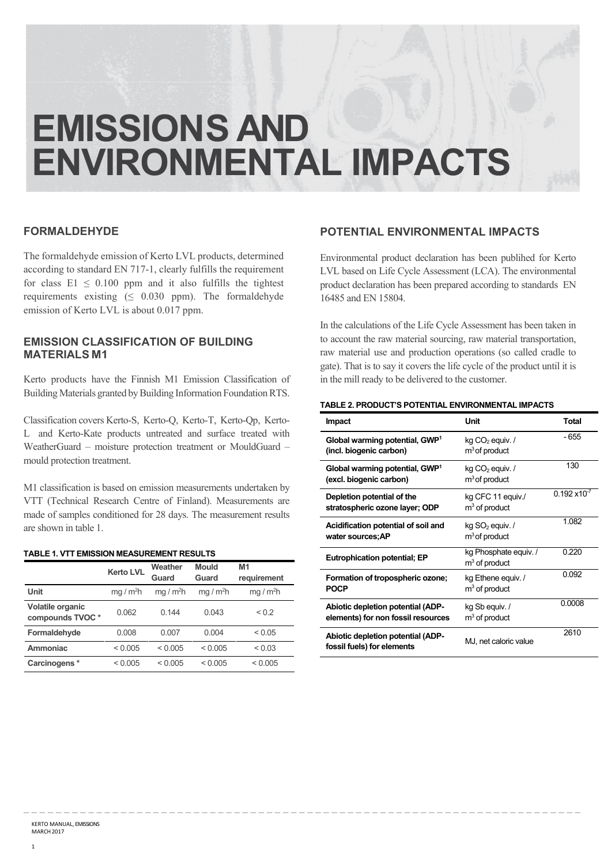# **EMISSIONS AND ENVIRONMENTAL IMPACTS**

\_ \_ \_ \_ \_ \_ \_ \_ \_ \_ \_ \_ \_ \_ \_ \_ \_ \_ \_ \_ \_ \_ \_ \_ \_ \_ \_ \_ \_ \_ \_ \_ \_ \_ \_ \_ \_ \_ \_ \_ \_ \_ \_ \_ \_ \_ \_ \_ \_ \_ \_ \_ \_ \_ \_ \_ \_ \_ \_ \_ \_ \_ \_ \_ \_ \_ \_ \_ \_

#### **FORMALDEHYDE**

The formaldehyde emission of Kerto LVL products, determined according to standard EN 717-1, clearly fulfills the requirement for class  $E1 \le 0.100$  ppm and it also fulfills the tightest requirements existing  $( \leq 0.030 \text{ ppm}).$  The formaldehyde emission of Kerto LVL is about 0.017 ppm.

### **EMISSION CLASSIFICATION OF BUILDING MATERIALS M1**

Kerto products have the Finnish M1 Emission Classification of Building Materials granted by Building Information Foundation RTS.

Classification covers Kerto-S, Kerto-Q, Kerto-T, Kerto-Qp, Kerto-L and Kerto-Kate products untreated and surface treated with WeatherGuard – moisture protection treatment or MouldGuard – mould protection treatment.

M1 classification is based on emission measurements undertaken by VTT (Technical Research Centre of Finland). Measurements are made of samples conditioned for 28 days. The measurement results are shown in table 1.

#### **TABLE 1. VTT EMISSION MEASUREMENT RESULTS**

|                                     | <b>Kerto LVL</b>    | Weather<br>Guard    | <b>Mould</b><br>Guard | M <sub>1</sub><br>requirement |
|-------------------------------------|---------------------|---------------------|-----------------------|-------------------------------|
| Unit                                | mq/m <sup>2</sup> h | mq/m <sup>2</sup> h | mg / $m2h$            | $mq/m^2h$                     |
| Volatile organic<br>compounds TVOC* | 0.062               | 0.144               | 0.043                 | ${}^{< 0.2}$                  |
| Formaldehyde                        | 0.008               | 0.007               | 0.004                 | < 0.05                        |
| Ammoniac                            | < 0.005             | < 0.005             | < 0.005               | ${}_{0.03}$                   |
| Carcinogens*                        | < 0.005             | < 0.005             | < 0.005               | < 0.005                       |

## **POTENTIAL ENVIRONMENTAL IMPACTS**

Environmental product declaration has been publihed for Kerto LVL based on Life Cycle Assessment (LCA). The environmental product declaration has been prepared according to standards EN 16485 and EN 15804.

In the calculations of the Life Cycle Assessment has been taken in to account the raw material sourcing, raw material transportation, raw material use and production operations (so called cradle to gate). That is to say it covers the life cycle of the product until it is in the mill ready to be delivered to the customer.

#### **TABLE 2. PRODUCT'S POTENTIAL ENVIRONMENTAL IMPACTS**

| <b>Impact</b>                                                           | Unit                                             | <b>Total</b>           |
|-------------------------------------------------------------------------|--------------------------------------------------|------------------------|
| Global warming potential, GWP <sup>1</sup><br>(incl. biogenic carbon)   | kg CO <sub>2</sub> equiv. /<br>$m3$ of product   | - 655                  |
| Global warming potential, GWP <sup>1</sup><br>(excl. biogenic carbon)   | $kg CO2$ equiv. /<br>$m3$ of product             | 130                    |
| Depletion potential of the<br>stratospheric ozone layer; ODP            | kg CFC 11 equiv./<br>$m3$ of product             | $0.192 \times 10^{-7}$ |
| Acidification potential of soil and<br>water sources;AP                 | $kg$ SO <sub>2</sub> equiv. /<br>$m3$ of product | 1.082                  |
| <b>Eutrophication potential; EP</b>                                     | kg Phosphate equiv. /<br>$m3$ of product         | 0.220                  |
| Formation of tropospheric ozone;<br><b>POCP</b>                         | kg Ethene equiv. /<br>$m3$ of product            | 0.092                  |
| Abiotic depletion potential (ADP-<br>elements) for non fossil resources | kg Sb equiv. /<br>$m3$ of product                | 0.0008                 |
| Abiotic depletion potential (ADP-<br>fossil fuels) for elements         | MJ, net caloric value                            | 2610                   |